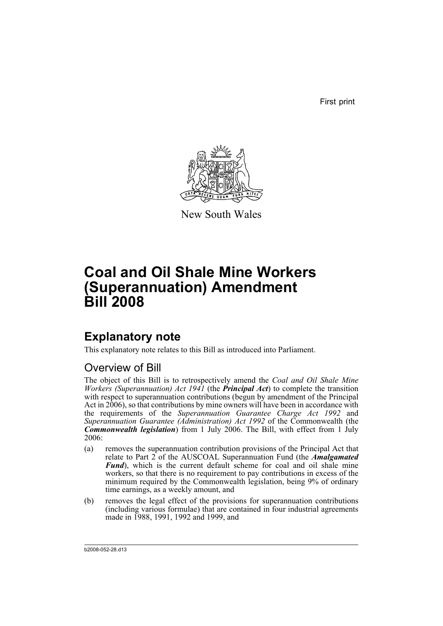First print



New South Wales

# **Coal and Oil Shale Mine Workers (Superannuation) Amendment Bill 2008**

## **Explanatory note**

This explanatory note relates to this Bill as introduced into Parliament.

## Overview of Bill

The object of this Bill is to retrospectively amend the *Coal and Oil Shale Mine Workers (Superannuation) Act 1941* (the *Principal Act*) to complete the transition with respect to superannuation contributions (begun by amendment of the Principal Act in 2006), so that contributions by mine owners will have been in accordance with the requirements of the *Superannuation Guarantee Charge Act 1992* and *Superannuation Guarantee (Administration) Act 1992* of the Commonwealth (the *Commonwealth legislation*) from 1 July 2006. The Bill, with effect from 1 July 2006:

- (a) removes the superannuation contribution provisions of the Principal Act that relate to Part 2 of the AUSCOAL Superannuation Fund (the *Amalgamated Fund*), which is the current default scheme for coal and oil shale mine workers, so that there is no requirement to pay contributions in excess of the minimum required by the Commonwealth legislation, being 9% of ordinary time earnings, as a weekly amount, and
- (b) removes the legal effect of the provisions for superannuation contributions (including various formulae) that are contained in four industrial agreements made in 1988, 1991, 1992 and 1999, and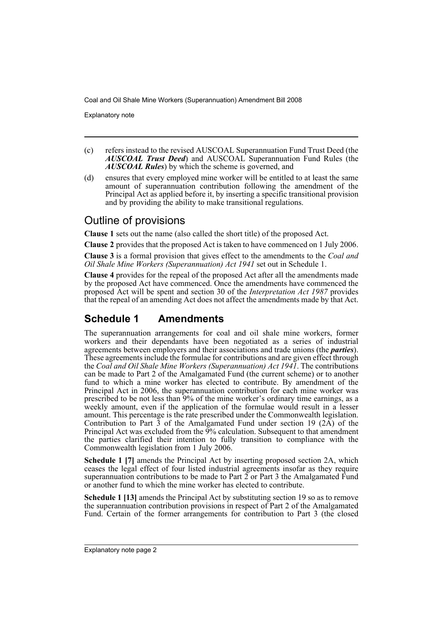Explanatory note

- (c) refers instead to the revised AUSCOAL Superannuation Fund Trust Deed (the *AUSCOAL Trust Deed*) and AUSCOAL Superannuation Fund Rules (the *AUSCOAL Rules*) by which the scheme is governed, and
- (d) ensures that every employed mine worker will be entitled to at least the same amount of superannuation contribution following the amendment of the Principal Act as applied before it, by inserting a specific transitional provision and by providing the ability to make transitional regulations.

### Outline of provisions

**Clause 1** sets out the name (also called the short title) of the proposed Act.

**Clause 2** provides that the proposed Act is taken to have commenced on 1 July 2006.

**Clause 3** is a formal provision that gives effect to the amendments to the *Coal and Oil Shale Mine Workers (Superannuation) Act 1941* set out in Schedule 1.

**Clause 4** provides for the repeal of the proposed Act after all the amendments made by the proposed Act have commenced. Once the amendments have commenced the proposed Act will be spent and section 30 of the *Interpretation Act 1987* provides that the repeal of an amending Act does not affect the amendments made by that Act.

## **Schedule 1 Amendments**

The superannuation arrangements for coal and oil shale mine workers, former workers and their dependants have been negotiated as a series of industrial agreements between employers and their associations and trade unions (the *parties*). These agreements include the formulae for contributions and are given effect through the *Coal and Oil Shale Mine Workers (Superannuation) Act 1941*. The contributions can be made to Part 2 of the Amalgamated Fund (the current scheme) or to another fund to which a mine worker has elected to contribute. By amendment of the Principal Act in 2006, the superannuation contribution for each mine worker was prescribed to be not less than 9% of the mine worker's ordinary time earnings, as a weekly amount, even if the application of the formulae would result in a lesser amount. This percentage is the rate prescribed under the Commonwealth legislation. Contribution to Part  $\overline{3}$  of the Amalgamated Fund under section 19 (2A) of the Principal Act was excluded from the  $\frac{9}{6}$  calculation. Subsequent to that amendment the parties clarified their intention to fully transition to compliance with the Commonwealth legislation from 1 July 2006.

**Schedule 1 [7]** amends the Principal Act by inserting proposed section 2A, which ceases the legal effect of four listed industrial agreements insofar as they require superannuation contributions to be made to Part  $\tilde{2}$  or Part 3 the Amalgamated Fund or another fund to which the mine worker has elected to contribute.

**Schedule 1 [13]** amends the Principal Act by substituting section 19 so as to remove the superannuation contribution provisions in respect of Part 2 of the Amalgamated Fund. Certain of the former arrangements for contribution to Part 3 (the closed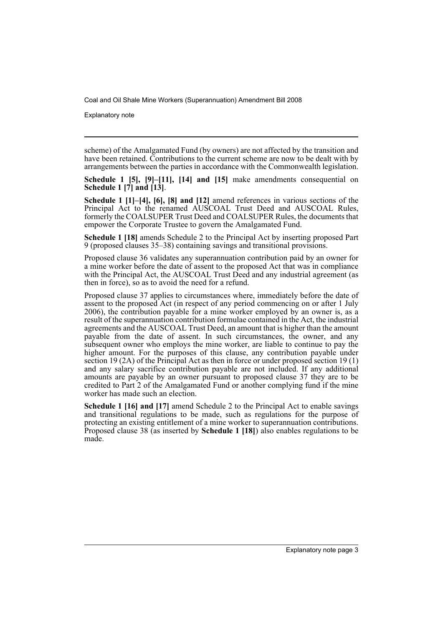Explanatory note

scheme) of the Amalgamated Fund (by owners) are not affected by the transition and have been retained. Contributions to the current scheme are now to be dealt with by arrangements between the parties in accordance with the Commonwealth legislation.

**Schedule 1 [5], [9]–[11], [14] and [15]** make amendments consequential on **Schedule 1 [7] and [13]**.

**Schedule 1 [1]–[4], [6], [8] and [12]** amend references in various sections of the Principal Act to the renamed AUSCOAL Trust Deed and AUSCOAL Rules, formerly the COALSUPER Trust Deed and COALSUPER Rules, the documents that empower the Corporate Trustee to govern the Amalgamated Fund.

**Schedule 1 [18]** amends Schedule 2 to the Principal Act by inserting proposed Part 9 (proposed clauses 35–38) containing savings and transitional provisions.

Proposed clause 36 validates any superannuation contribution paid by an owner for a mine worker before the date of assent to the proposed Act that was in compliance with the Principal Act, the AUSCOAL Trust Deed and any industrial agreement (as then in force), so as to avoid the need for a refund.

Proposed clause 37 applies to circumstances where, immediately before the date of assent to the proposed Act (in respect of any period commencing on or after 1 July 2006), the contribution payable for a mine worker employed by an owner is, as a result of the superannuation contribution formulae contained in the Act, the industrial agreements and the AUSCOAL Trust Deed, an amount that is higher than the amount payable from the date of assent. In such circumstances, the owner, and any subsequent owner who employs the mine worker, are liable to continue to pay the higher amount. For the purposes of this clause, any contribution payable under section 19 (2A) of the Principal Act as then in force or under proposed section 19 (1) and any salary sacrifice contribution payable are not included. If any additional amounts are payable by an owner pursuant to proposed clause 37 they are to be credited to Part 2 of the Amalgamated Fund or another complying fund if the mine worker has made such an election.

**Schedule 1 [16] and [17]** amend Schedule 2 to the Principal Act to enable savings and transitional regulations to be made, such as regulations for the purpose of protecting an existing entitlement of a mine worker to superannuation contributions. Proposed clause 38 (as inserted by **Schedule 1 [18]**) also enables regulations to be made.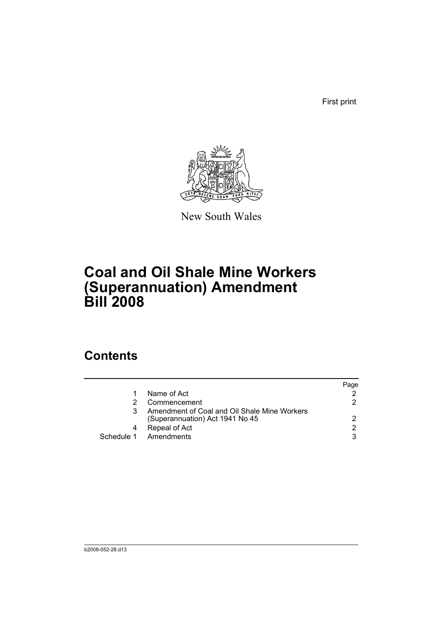First print



New South Wales

# **Coal and Oil Shale Mine Workers (Superannuation) Amendment Bill 2008**

## **Contents**

|                                                                                 | Page          |
|---------------------------------------------------------------------------------|---------------|
| Name of Act                                                                     |               |
| Commencement                                                                    | 2             |
| Amendment of Coal and Oil Shale Mine Workers<br>(Superannuation) Act 1941 No 45 | $\mathcal{P}$ |
| Repeal of Act                                                                   | $\mathcal{P}$ |
| Schedule 1 Amendments                                                           | 3             |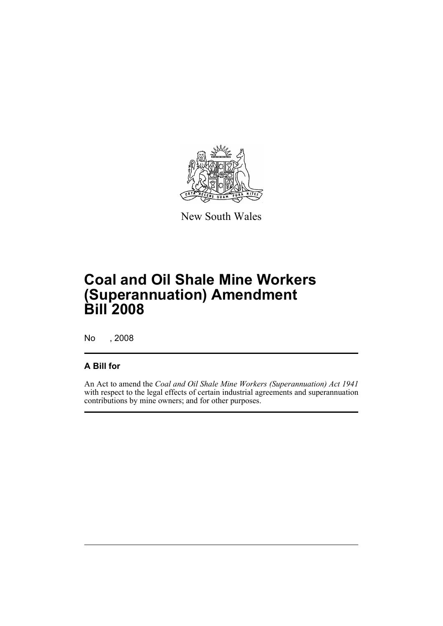

New South Wales

# **Coal and Oil Shale Mine Workers (Superannuation) Amendment Bill 2008**

No , 2008

### **A Bill for**

An Act to amend the *Coal and Oil Shale Mine Workers (Superannuation) Act 1941* with respect to the legal effects of certain industrial agreements and superannuation contributions by mine owners; and for other purposes.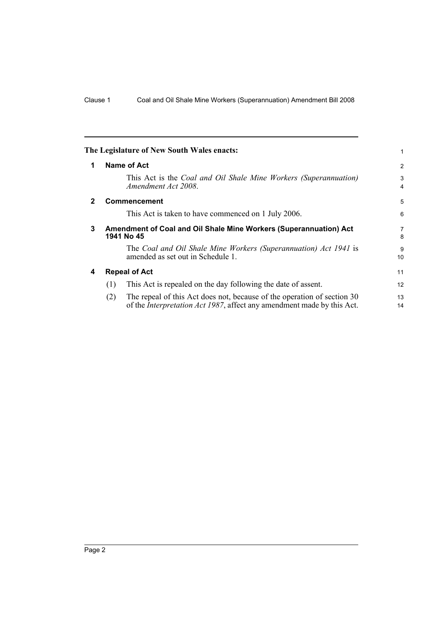<span id="page-7-3"></span><span id="page-7-2"></span><span id="page-7-1"></span><span id="page-7-0"></span>

|              | The Legislature of New South Wales enacts:                                                                                                                       | 1        |
|--------------|------------------------------------------------------------------------------------------------------------------------------------------------------------------|----------|
| 1            | Name of Act                                                                                                                                                      | 2        |
|              | This Act is the Coal and Oil Shale Mine Workers (Superannuation)<br>Amendment Act 2008.                                                                          | 3<br>4   |
| $\mathbf{2}$ | <b>Commencement</b>                                                                                                                                              | 5        |
|              | This Act is taken to have commenced on 1 July 2006.                                                                                                              | 6        |
| 3            | Amendment of Coal and Oil Shale Mine Workers (Superannuation) Act<br>1941 No 45                                                                                  |          |
|              | The Coal and Oil Shale Mine Workers (Superannuation) Act 1941 is<br>amended as set out in Schedule 1.                                                            | 9<br>10  |
| 4            | <b>Repeal of Act</b>                                                                                                                                             |          |
|              | This Act is repealed on the day following the date of assent.<br>(1)                                                                                             | 12       |
|              | (2)<br>The repeal of this Act does not, because of the operation of section 30<br>of the <i>Interpretation Act 1987</i> , affect any amendment made by this Act. | 13<br>14 |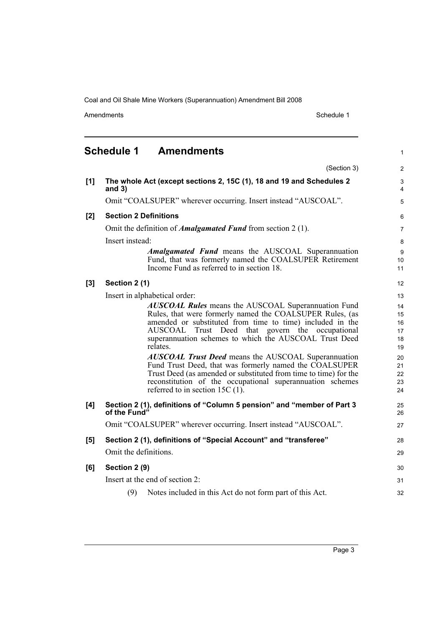Amendments Schedule 1

1

## <span id="page-8-0"></span>**Schedule 1 Amendments**

|       | (Section 3)                                                                                                                                                                                                                                                                                                                                                                                                                                                                                                                                                                                                 | 2                                                              |  |
|-------|-------------------------------------------------------------------------------------------------------------------------------------------------------------------------------------------------------------------------------------------------------------------------------------------------------------------------------------------------------------------------------------------------------------------------------------------------------------------------------------------------------------------------------------------------------------------------------------------------------------|----------------------------------------------------------------|--|
| [1]   | The whole Act (except sections 2, 15C (1), 18 and 19 and Schedules 2<br>and $3)$                                                                                                                                                                                                                                                                                                                                                                                                                                                                                                                            | $\mathsf 3$<br>4                                               |  |
|       | Omit "COALSUPER" wherever occurring. Insert instead "AUSCOAL".                                                                                                                                                                                                                                                                                                                                                                                                                                                                                                                                              | $\sqrt{5}$                                                     |  |
| $[2]$ | <b>Section 2 Definitions</b>                                                                                                                                                                                                                                                                                                                                                                                                                                                                                                                                                                                | 6                                                              |  |
|       | Omit the definition of <i>Amalgamated Fund</i> from section 2 (1).                                                                                                                                                                                                                                                                                                                                                                                                                                                                                                                                          | $\overline{7}$                                                 |  |
|       | Insert instead:                                                                                                                                                                                                                                                                                                                                                                                                                                                                                                                                                                                             | 8                                                              |  |
|       | <i>Amalgamated Fund</i> means the AUSCOAL Superannuation<br>Fund, that was formerly named the COALSUPER Retirement<br>Income Fund as referred to in section 18.                                                                                                                                                                                                                                                                                                                                                                                                                                             | 9<br>10<br>11                                                  |  |
| $[3]$ | Section 2 (1)                                                                                                                                                                                                                                                                                                                                                                                                                                                                                                                                                                                               | 12                                                             |  |
|       | Insert in alphabetical order:                                                                                                                                                                                                                                                                                                                                                                                                                                                                                                                                                                               |                                                                |  |
|       | <b>AUSCOAL Rules</b> means the AUSCOAL Superannuation Fund<br>Rules, that were formerly named the COALSUPER Rules, (as<br>amended or substituted from time to time) included in the<br>AUSCOAL Trust Deed that govern the occupational<br>superannuation schemes to which the AUSCOAL Trust Deed<br>relates.<br><b>AUSCOAL Trust Deed means the AUSCOAL Superannuation</b><br>Fund Trust Deed, that was formerly named the COALSUPER<br>Trust Deed (as amended or substituted from time to time) for the<br>reconstitution of the occupational superannuation schemes<br>referred to in section 15C $(1)$ . | 14<br>15<br>16<br>17<br>18<br>19<br>20<br>21<br>22<br>23<br>24 |  |
| [4]   | Section 2 (1), definitions of "Column 5 pension" and "member of Part 3<br>of the Fund"                                                                                                                                                                                                                                                                                                                                                                                                                                                                                                                      | 25<br>26                                                       |  |
|       | Omit "COALSUPER" wherever occurring. Insert instead "AUSCOAL".                                                                                                                                                                                                                                                                                                                                                                                                                                                                                                                                              | 27                                                             |  |
| [5]   | Section 2 (1), definitions of "Special Account" and "transferee"                                                                                                                                                                                                                                                                                                                                                                                                                                                                                                                                            | 28                                                             |  |
|       | Omit the definitions.                                                                                                                                                                                                                                                                                                                                                                                                                                                                                                                                                                                       | 29                                                             |  |
| [6]   | Section 2 (9)                                                                                                                                                                                                                                                                                                                                                                                                                                                                                                                                                                                               |                                                                |  |
|       | Insert at the end of section 2:                                                                                                                                                                                                                                                                                                                                                                                                                                                                                                                                                                             |                                                                |  |
|       | (9)<br>Notes included in this Act do not form part of this Act.                                                                                                                                                                                                                                                                                                                                                                                                                                                                                                                                             | 32                                                             |  |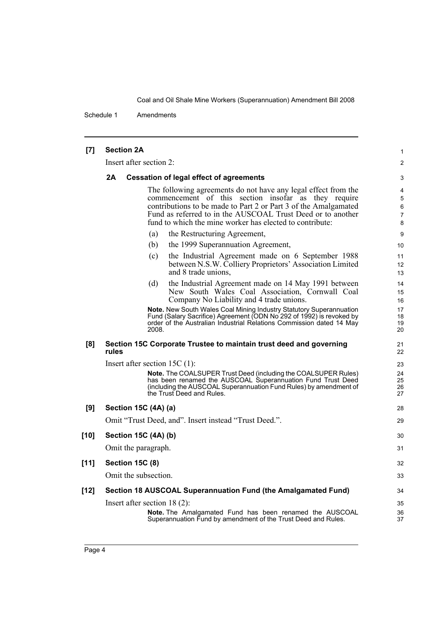Schedule 1 Amendments

| $[7]$  | <b>Section 2A</b>                                                                                                                                                                                                                                                                                                    |                                                                                                                                                                                                                                 |                      |  |
|--------|----------------------------------------------------------------------------------------------------------------------------------------------------------------------------------------------------------------------------------------------------------------------------------------------------------------------|---------------------------------------------------------------------------------------------------------------------------------------------------------------------------------------------------------------------------------|----------------------|--|
|        | Insert after section 2:                                                                                                                                                                                                                                                                                              |                                                                                                                                                                                                                                 |                      |  |
|        | 2A<br><b>Cessation of legal effect of agreements</b>                                                                                                                                                                                                                                                                 |                                                                                                                                                                                                                                 |                      |  |
|        | The following agreements do not have any legal effect from the<br>commencement of this section insofar as they require<br>contributions to be made to Part 2 or Part 3 of the Amalgamated<br>Fund as referred to in the AUSCOAL Trust Deed or to another<br>fund to which the mine worker has elected to contribute: |                                                                                                                                                                                                                                 |                      |  |
|        |                                                                                                                                                                                                                                                                                                                      | (a)<br>the Restructuring Agreement,                                                                                                                                                                                             | 9                    |  |
|        |                                                                                                                                                                                                                                                                                                                      | the 1999 Superannuation Agreement,<br>(b)                                                                                                                                                                                       | 10                   |  |
|        |                                                                                                                                                                                                                                                                                                                      | the Industrial Agreement made on 6 September 1988<br>(c)<br>between N.S.W. Colliery Proprietors' Association Limited<br>and 8 trade unions,                                                                                     | 11<br>12<br>13       |  |
|        |                                                                                                                                                                                                                                                                                                                      | the Industrial Agreement made on 14 May 1991 between<br>(d)<br>New South Wales Coal Association, Cornwall Coal<br>Company No Liability and 4 trade unions.                                                                      | 14<br>15<br>16       |  |
|        |                                                                                                                                                                                                                                                                                                                      | Note. New South Wales Coal Mining Industry Statutory Superannuation<br>Fund (Salary Sacrifice) Agreement (ODN No 292 of 1992) is revoked by<br>order of the Australian Industrial Relations Commission dated 14 May<br>2008.    | 17<br>18<br>19<br>20 |  |
| [8]    | rules                                                                                                                                                                                                                                                                                                                | Section 15C Corporate Trustee to maintain trust deed and governing                                                                                                                                                              | 21<br>22             |  |
|        |                                                                                                                                                                                                                                                                                                                      | Insert after section 15C $(1)$ :                                                                                                                                                                                                | 23                   |  |
|        |                                                                                                                                                                                                                                                                                                                      | Note. The COALSUPER Trust Deed (including the COALSUPER Rules)<br>has been renamed the AUSCOAL Superannuation Fund Trust Deed<br>(including the AUSCOAL Superannuation Fund Rules) by amendment of<br>the Trust Deed and Rules. | 24<br>25<br>26<br>27 |  |
| [9]    |                                                                                                                                                                                                                                                                                                                      | Section 15C (4A) (a)                                                                                                                                                                                                            | 28                   |  |
|        | Omit "Trust Deed, and". Insert instead "Trust Deed.".                                                                                                                                                                                                                                                                |                                                                                                                                                                                                                                 |                      |  |
| $[10]$ | Section 15C (4A) (b)                                                                                                                                                                                                                                                                                                 |                                                                                                                                                                                                                                 |                      |  |
|        |                                                                                                                                                                                                                                                                                                                      | Omit the paragraph.                                                                                                                                                                                                             | 31                   |  |
| $[11]$ |                                                                                                                                                                                                                                                                                                                      | <b>Section 15C (8)</b>                                                                                                                                                                                                          | 32                   |  |
|        |                                                                                                                                                                                                                                                                                                                      | Omit the subsection.                                                                                                                                                                                                            | 33                   |  |
| $[12]$ |                                                                                                                                                                                                                                                                                                                      | Section 18 AUSCOAL Superannuation Fund (the Amalgamated Fund)                                                                                                                                                                   | 34                   |  |
|        |                                                                                                                                                                                                                                                                                                                      | Insert after section $18(2)$ :                                                                                                                                                                                                  | 35                   |  |
|        |                                                                                                                                                                                                                                                                                                                      | <b>Note.</b> The Amalgamated Fund has been renamed the AUSCOAL<br>Superannuation Fund by amendment of the Trust Deed and Rules.                                                                                                 | 36<br>37             |  |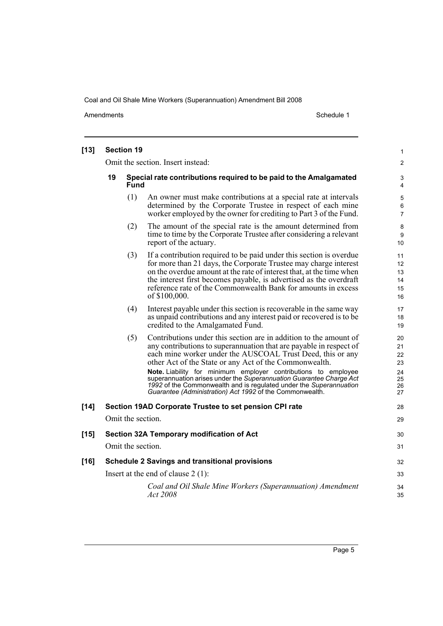Amendments Schedule 1

| [13]   |                                                                                        | <b>Section 19</b> |                                                                                                                                                                                                                                                                                                                                                                                                                                                                                                                                            | 1                                            |
|--------|----------------------------------------------------------------------------------------|-------------------|--------------------------------------------------------------------------------------------------------------------------------------------------------------------------------------------------------------------------------------------------------------------------------------------------------------------------------------------------------------------------------------------------------------------------------------------------------------------------------------------------------------------------------------------|----------------------------------------------|
|        | Omit the section. Insert instead:                                                      |                   |                                                                                                                                                                                                                                                                                                                                                                                                                                                                                                                                            | $\overline{c}$                               |
|        | 19<br>Special rate contributions required to be paid to the Amalgamated<br><b>Fund</b> |                   |                                                                                                                                                                                                                                                                                                                                                                                                                                                                                                                                            | 3<br>4                                       |
|        |                                                                                        | (1)               | An owner must make contributions at a special rate at intervals<br>determined by the Corporate Trustee in respect of each mine<br>worker employed by the owner for crediting to Part 3 of the Fund.                                                                                                                                                                                                                                                                                                                                        | 5<br>6<br>7                                  |
|        |                                                                                        | (2)               | The amount of the special rate is the amount determined from<br>time to time by the Corporate Trustee after considering a relevant<br>report of the actuary.                                                                                                                                                                                                                                                                                                                                                                               | 8<br>9<br>10                                 |
|        |                                                                                        | (3)               | If a contribution required to be paid under this section is overdue<br>for more than 21 days, the Corporate Trustee may charge interest<br>on the overdue amount at the rate of interest that, at the time when<br>the interest first becomes payable, is advertised as the overdraft<br>reference rate of the Commonwealth Bank for amounts in excess<br>of \$100,000.                                                                                                                                                                    | 11<br>12<br>13<br>14<br>15<br>16             |
|        |                                                                                        | (4)               | Interest payable under this section is recoverable in the same way<br>as unpaid contributions and any interest paid or recovered is to be<br>credited to the Amalgamated Fund.                                                                                                                                                                                                                                                                                                                                                             | 17<br>18<br>19                               |
|        |                                                                                        | (5)               | Contributions under this section are in addition to the amount of<br>any contributions to superannuation that are payable in respect of<br>each mine worker under the AUSCOAL Trust Deed, this or any<br>other Act of the State or any Act of the Commonwealth.<br>Note. Liability for minimum employer contributions to employee<br>superannuation arises under the Superannuation Guarantee Charge Act<br>1992 of the Commonwealth and is regulated under the Superannuation<br>Guarantee (Administration) Act 1992 of the Commonwealth. | 20<br>21<br>22<br>23<br>24<br>25<br>26<br>27 |
| [14]   |                                                                                        |                   | Section 19AD Corporate Trustee to set pension CPI rate                                                                                                                                                                                                                                                                                                                                                                                                                                                                                     | 28                                           |
|        |                                                                                        | Omit the section. |                                                                                                                                                                                                                                                                                                                                                                                                                                                                                                                                            | 29                                           |
| $[15]$ |                                                                                        |                   | Section 32A Temporary modification of Act                                                                                                                                                                                                                                                                                                                                                                                                                                                                                                  | 30                                           |
|        |                                                                                        | Omit the section. |                                                                                                                                                                                                                                                                                                                                                                                                                                                                                                                                            | 31                                           |
| $[16]$ | <b>Schedule 2 Savings and transitional provisions</b>                                  |                   |                                                                                                                                                                                                                                                                                                                                                                                                                                                                                                                                            | 32                                           |
|        |                                                                                        |                   | Insert at the end of clause $2(1)$ :                                                                                                                                                                                                                                                                                                                                                                                                                                                                                                       | 33                                           |
|        |                                                                                        |                   | Coal and Oil Shale Mine Workers (Superannuation) Amendment<br>Act 2008                                                                                                                                                                                                                                                                                                                                                                                                                                                                     | 34<br>35                                     |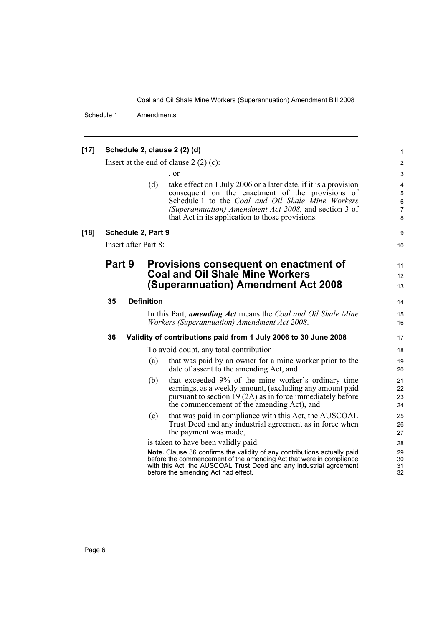Schedule 1 Amendments

| $[17]$ | Schedule 2, clause 2 (2) (d) |  |                    |                                                                                                                                                                                                                                                                                        |                                        |
|--------|------------------------------|--|--------------------|----------------------------------------------------------------------------------------------------------------------------------------------------------------------------------------------------------------------------------------------------------------------------------------|----------------------------------------|
|        |                              |  |                    | Insert at the end of clause $2(2)(c)$ :                                                                                                                                                                                                                                                | 2                                      |
|        |                              |  |                    | , or                                                                                                                                                                                                                                                                                   | 3                                      |
|        |                              |  | (d)                | take effect on 1 July 2006 or a later date, if it is a provision<br>consequent on the enactment of the provisions of<br>Schedule 1 to the Coal and Oil Shale Mine Workers<br>(Superannuation) Amendment Act 2008, and section 3 of<br>that Act in its application to those provisions. | 4<br>5<br>$\,6$<br>$\overline{7}$<br>8 |
| $[18]$ |                              |  | Schedule 2, Part 9 |                                                                                                                                                                                                                                                                                        | 9                                      |
|        | Insert after Part 8:         |  |                    |                                                                                                                                                                                                                                                                                        | 10                                     |
|        | Part 9                       |  |                    | Provisions consequent on enactment of                                                                                                                                                                                                                                                  | 11                                     |
|        |                              |  |                    | <b>Coal and Oil Shale Mine Workers</b>                                                                                                                                                                                                                                                 | 12                                     |
|        |                              |  |                    | (Superannuation) Amendment Act 2008                                                                                                                                                                                                                                                    | 13                                     |
|        | 35                           |  | <b>Definition</b>  |                                                                                                                                                                                                                                                                                        | 14                                     |
|        |                              |  |                    | In this Part, amending Act means the Coal and Oil Shale Mine<br><i>Workers (Superannuation) Amendment Act 2008.</i>                                                                                                                                                                    | 15<br>16                               |
|        | 36                           |  |                    | Validity of contributions paid from 1 July 2006 to 30 June 2008                                                                                                                                                                                                                        | 17                                     |
|        |                              |  |                    | To avoid doubt, any total contribution:                                                                                                                                                                                                                                                | 18                                     |
|        |                              |  | (a)                | that was paid by an owner for a mine worker prior to the<br>date of assent to the amending Act, and                                                                                                                                                                                    | 19<br>20                               |
|        |                              |  | (b)                | that exceeded 9% of the mine worker's ordinary time<br>earnings, as a weekly amount, (excluding any amount paid<br>pursuant to section 19 (2A) as in force immediately before<br>the commencement of the amending Act), and                                                            | 21<br>22<br>23<br>24                   |
|        |                              |  | (c)                | that was paid in compliance with this Act, the AUSCOAL<br>Trust Deed and any industrial agreement as in force when<br>the payment was made,                                                                                                                                            | 25<br>26<br>27                         |
|        |                              |  |                    | is taken to have been validly paid.                                                                                                                                                                                                                                                    | 28                                     |
|        |                              |  |                    | Note. Clause 36 confirms the validity of any contributions actually paid<br>before the commencement of the amending Act that were in compliance<br>with this Act, the AUSCOAL Trust Deed and any industrial agreement<br>before the amending Act had effect.                           | 29<br>30<br>31<br>32                   |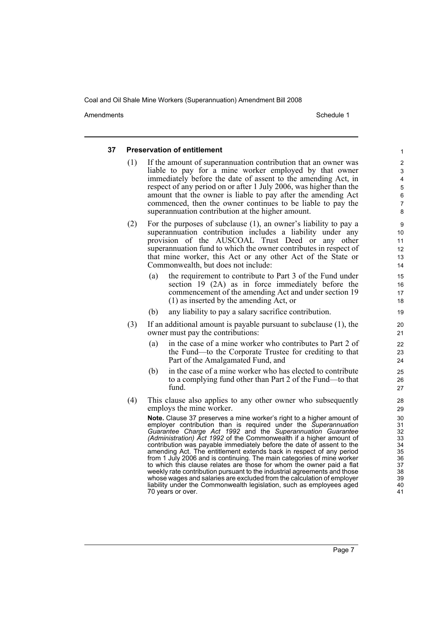Amendments **Amendments** Schedule 1

#### **37 Preservation of entitlement**

- (1) If the amount of superannuation contribution that an owner was liable to pay for a mine worker employed by that owner immediately before the date of assent to the amending Act, in respect of any period on or after 1 July 2006, was higher than the amount that the owner is liable to pay after the amending Act commenced, then the owner continues to be liable to pay the superannuation contribution at the higher amount.
- (2) For the purposes of subclause (1), an owner's liability to pay a superannuation contribution includes a liability under any provision of the AUSCOAL Trust Deed or any other superannuation fund to which the owner contributes in respect of that mine worker, this Act or any other Act of the State or Commonwealth, but does not include:
	- (a) the requirement to contribute to Part 3 of the Fund under section 19 (2A) as in force immediately before the commencement of the amending Act and under section 19 (1) as inserted by the amending Act, or
	- (b) any liability to pay a salary sacrifice contribution.
- (3) If an additional amount is payable pursuant to subclause (1), the owner must pay the contributions:
	- (a) in the case of a mine worker who contributes to Part 2 of the Fund—to the Corporate Trustee for crediting to that Part of the Amalgamated Fund, and
	- (b) in the case of a mine worker who has elected to contribute to a complying fund other than Part 2 of the Fund—to that fund.
- (4) This clause also applies to any other owner who subsequently employs the mine worker.

**Note.** Clause 37 preserves a mine worker's right to a higher amount of employer contribution than is required under the *Superannuation Guarantee Charge Act 1992* and the *Superannuation Guarantee (Administration) Act 1992* of the Commonwealth if a higher amount of contribution was payable immediately before the date of assent to the amending Act. The entitlement extends back in respect of any period from 1 July 2006 and is continuing. The main categories of mine worker to which this clause relates are those for whom the owner paid a flat weekly rate contribution pursuant to the industrial agreements and those whose wages and salaries are excluded from the calculation of employer liability under the Commonwealth legislation, such as employees aged 70 years or over.

Page 7